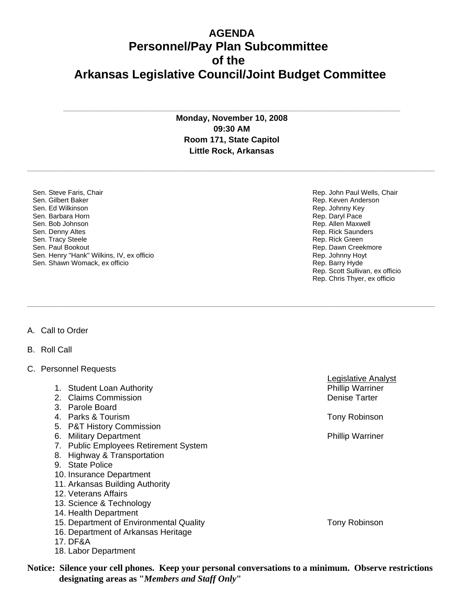## **AGENDA Personnel/Pay Plan Subcommittee of the Arkansas Legislative Council/Joint Budget Committee**

**Monday, November 10, 2008 09:30 AM Room 171, State Capitol Little Rock, Arkansas**

**\_\_\_\_\_\_\_\_\_\_\_\_\_\_\_\_\_\_\_\_\_\_\_\_\_\_\_\_\_\_\_\_\_\_\_\_\_\_\_\_\_\_\_\_\_\_\_\_\_\_\_\_\_\_\_\_\_\_\_\_\_\_\_\_\_\_\_\_\_\_\_\_\_\_\_\_\_\_\_\_\_\_\_\_\_\_\_\_\_\_\_\_\_\_\_\_\_\_\_\_\_\_\_\_\_\_\_\_\_\_\_\_\_\_\_\_\_\_\_\_\_** 

**\_\_\_\_\_\_\_\_\_\_\_\_\_\_\_\_\_\_\_\_\_\_\_\_\_\_\_\_\_\_\_\_\_\_\_\_\_\_\_\_\_\_\_\_\_\_\_\_\_\_\_\_\_\_\_\_\_\_\_\_\_\_\_\_\_\_\_\_\_\_\_\_\_\_\_\_\_\_\_\_\_\_\_\_\_\_\_\_\_\_\_\_\_\_\_\_\_\_\_\_\_\_\_\_\_\_\_\_\_\_\_\_\_\_\_\_\_\_\_\_\_** 

**\_\_\_\_\_\_\_\_\_\_\_\_\_\_\_\_\_\_\_\_\_\_\_\_\_\_\_\_\_\_\_\_\_\_\_\_\_\_\_\_\_\_\_\_\_\_\_\_\_\_\_\_\_\_\_\_\_\_\_\_\_\_\_\_\_\_\_\_\_\_\_\_\_\_\_\_\_\_\_\_\_\_\_\_\_\_\_\_\_\_\_\_\_\_\_\_\_\_\_\_**

Sen. Steve Faris, Chair Sen. Gilbert Baker Sen. Ed Wilkinson Sen. Barbara Horn Sen. Bob Johnson Sen. Denny Altes Sen. Tracy Steele Sen. Paul Bookout Sen. Henry "Hank" Wilkins, IV, ex officio Sen. Shawn Womack, ex officio

A. Call to Order

B. Roll Call

- C. Personnel Requests
	- 1. Student Loan Authority **Phillip Warriner** Phillip Warriner
	- 2. Claims Commission **Denise Tarter** Commission **Denise Tarter**
	- 3. Parole Board
	- 4. Parks & Tourism **The Community Community Community** Parks A Tony Robinson
	- 5. P&T History Commission
	- 6. Military Department **Phillip Warriner** Phillip Warriner
	- 7. Public Employees Retirement System
	- 8. Highway & Transportation
	- 9. State Police
	- 10. Insurance Department
	- 11. Arkansas Building Authority
	- 12. Veterans Affairs
	- 13. Science & Technology
	- 14. Health Department
	- 15. Department of Environmental Quality Tom Tony Robinson
	- 16. Department of Arkansas Heritage
	- 17. DF&A
	- 18. Labor Department

**Notice: Silence your cell phones. Keep your personal conversations to a minimum. Observe restrictions designating areas as "***Members and Staff Only***"**

Rep. John Paul Wells, Chair Rep. Keven Anderson Rep. Johnny Key Rep. Daryl Pace Rep. Allen Maxwell Rep. Rick Saunders Rep. Rick Green Rep. Dawn Creekmore Rep. Johnny Hoyt Rep. Barry Hyde Rep. Scott Sullivan, ex officio Rep. Chris Thyer, ex officio

Legislative Analyst